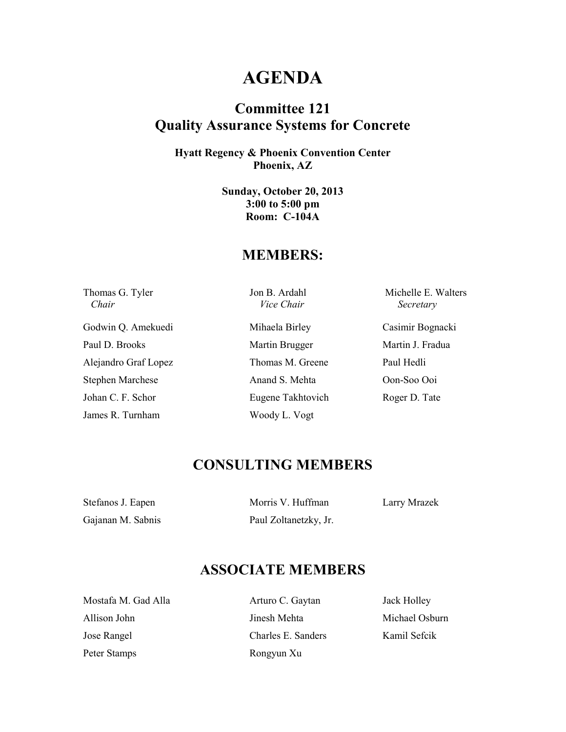## **AGENDA**

## **Committee 121 Quality Assurance Systems for Concrete**

**Hyatt Regency & Phoenix Convention Center Phoenix, AZ** 

> **Sunday, October 20, 2013 3:00 to 5:00 pm Room: C-104A**

#### **MEMBERS:**

 *Chair Vice Chair Secretary* 

Godwin Q. Amekuedi Mihaela Birley Casimir Bognacki Paul D. Brooks Martin Brugger Martin J. Fradua Alejandro Graf Lopez Thomas M. Greene Paul Hedli Stephen Marchese Anand S. Mehta Oon-Soo Ooi Johan C. F. Schor Eugene Takhtovich Roger D. Tate James R. Turnham Woody L. Vogt

Thomas G. Tyler Jon B. Ardahl Michelle E. Walters

### **CONSULTING MEMBERS**

Stefanos J. Eapen Morris V. Huffman Larry Mrazek

Gajanan M. Sabnis Paul Zoltanetzky, Jr.

### **ASSOCIATE MEMBERS**

Mostafa M. Gad Alla **Arturo C. Gaytan** Jack Holley Allison John **Imesh Mehta** Mehta Michael Osburn Jose Rangel Charles E. Sanders Kamil Sefcik Peter Stamps Rongyun Xu